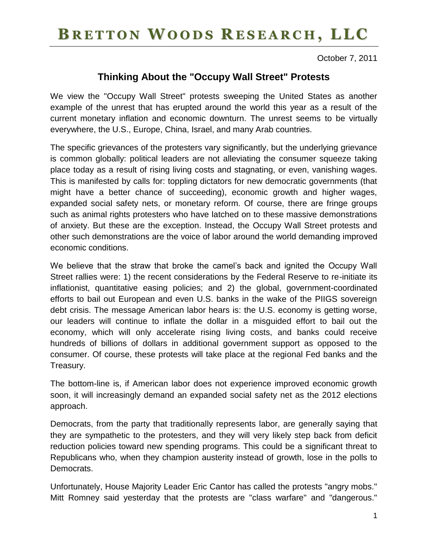### BRETTON WOODS RESEARCH, LLC

October 7, 2011

#### **Thinking About the "Occupy Wall Street" Protests**

We view the "Occupy Wall Street" protests sweeping the United States as another example of the unrest that has erupted around the world this year as a result of the current monetary inflation and economic downturn. The unrest seems to be virtually everywhere, the U.S., Europe, China, Israel, and many Arab countries.

The specific grievances of the protesters vary significantly, but the underlying grievance is common globally: political leaders are not alleviating the consumer squeeze taking place today as a result of rising living costs and stagnating, or even, vanishing wages. This is manifested by calls for: toppling dictators for new democratic governments (that might have a better chance of succeeding), economic growth and higher wages, expanded social safety nets, or monetary reform. Of course, there are fringe groups such as animal rights protesters who have latched on to these massive demonstrations of anxiety. But these are the exception. Instead, the Occupy Wall Street protests and other such demonstrations are the voice of labor around the world demanding improved economic conditions.

We believe that the straw that broke the camel's back and ignited the Occupy Wall Street rallies were: 1) the recent considerations by the Federal Reserve to re-initiate its inflationist, quantitative easing policies; and 2) the global, government-coordinated efforts to bail out European and even U.S. banks in the wake of the PIIGS sovereign debt crisis. The message American labor hears is: the U.S. economy is getting worse, our leaders will continue to inflate the dollar in a misguided effort to bail out the economy, which will only accelerate rising living costs, and banks could receive hundreds of billions of dollars in additional government support as opposed to the consumer. Of course, these protests will take place at the regional Fed banks and the Treasury.

The bottom-line is, if American labor does not experience improved economic growth soon, it will increasingly demand an expanded social safety net as the 2012 elections approach.

Democrats, from the party that traditionally represents labor, are generally saying that they are sympathetic to the protesters, and they will very likely step back from deficit reduction policies toward new spending programs. This could be a significant threat to Republicans who, when they champion austerity instead of growth, lose in the polls to Democrats.

Unfortunately, House Majority Leader Eric Cantor has called the protests "angry mobs." Mitt Romney said yesterday that the protests are "class warfare" and "dangerous."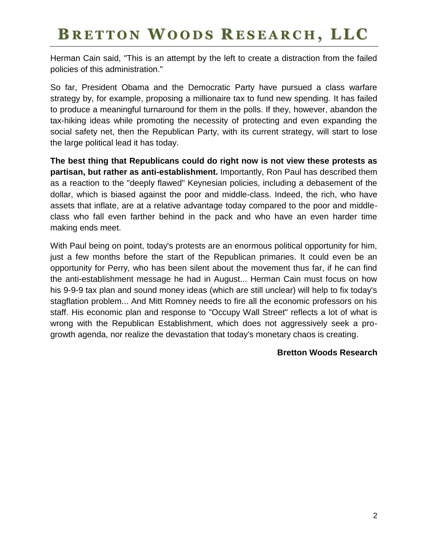# BRETTON WOODS RESEARCH, LLC

Herman Cain said, "This is an attempt by the left to create a distraction from the failed policies of this administration."

So far, President Obama and the Democratic Party have pursued a class warfare strategy by, for example, proposing a millionaire tax to fund new spending. It has failed to produce a meaningful turnaround for them in the polls. If they, however, abandon the tax-hiking ideas while promoting the necessity of protecting and even expanding the social safety net, then the Republican Party, with its current strategy, will start to lose the large political lead it has today.

**The best thing that Republicans could do right now is not view these protests as partisan, but rather as anti-establishment.** Importantly, Ron Paul has described them as a reaction to the "deeply flawed" Keynesian policies, including a debasement of the dollar, which is biased against the poor and middle-class. Indeed, the rich, who have assets that inflate, are at a relative advantage today compared to the poor and middleclass who fall even farther behind in the pack and who have an even harder time making ends meet.

With Paul being on point, today's protests are an enormous political opportunity for him, just a few months before the start of the Republican primaries. It could even be an opportunity for Perry, who has been silent about the movement thus far, if he can find the anti-establishment message he had in August... Herman Cain must focus on how his 9-9-9 tax plan and sound money ideas (which are still unclear) will help to fix today's stagflation problem... And Mitt Romney needs to fire all the economic professors on his staff. His economic plan and response to "Occupy Wall Street" reflects a lot of what is wrong with the Republican Establishment, which does not aggressively seek a progrowth agenda, nor realize the devastation that today's monetary chaos is creating.

#### **Bretton Woods Research**